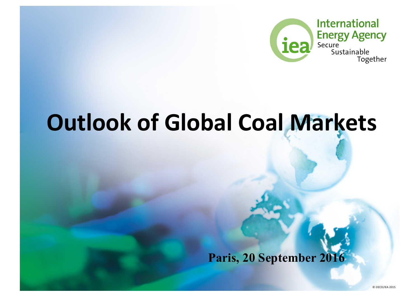

# **Outlook of Global Coal Markets**

**Paris, 20 September 2016**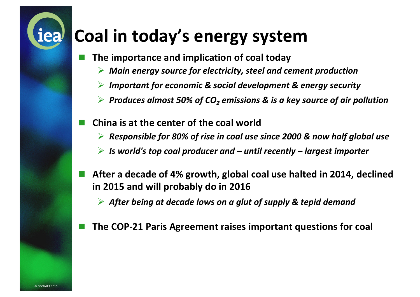#### **Coal in today's energy system**

- The importance and implication of coal today
	- Ø *Main energy source for electricity, steel and cement production*
	- Ø *Important for economic & social development & energy security*
	- Ø *Produces almost 50% of CO2 emissions & is a key source of air pollution*
- **China is at the center of the coal world** 
	- **► Responsible for 80% of rise in coal use since 2000 & now half global use**
	- Ø *Is world's top coal producer and – until recently – largest importer*
- After a decade of 4% growth, global coal use halted in 2014, declined in 2015 and will probably do in 2016
	- After being at decade lows on a glut of supply & tepid demand
- The COP-21 Paris Agreement raises important questions for coal

ieal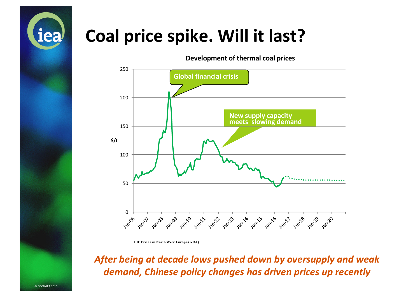

#### Coal price spike. Will it last?



**CIF Prices in North West Europe (ARA)** 

After being at decade lows pushed down by oversupply and weak demand, Chinese policy changes has driven prices up recently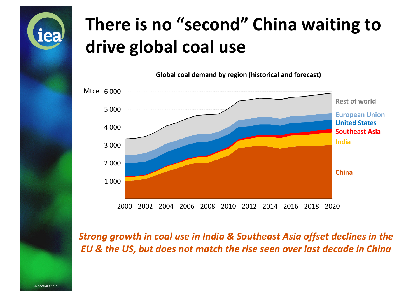

## There is no "second" China waiting to drive global coal use

1 000 2 000 3 000 4 000 5 000 Mtce 6 000 2000 2002 2004 2006 2008 2010 2012 2014 2016 2018 2020 Mtce **World China India Southeast Asia United States European Union Rest of world** 

Global coal demand by region (historical and forecast)

**Strong growth in coal use in India & Southeast Asia offset declines in the** *EU* **& the US, but does not match the rise seen over last decade in China**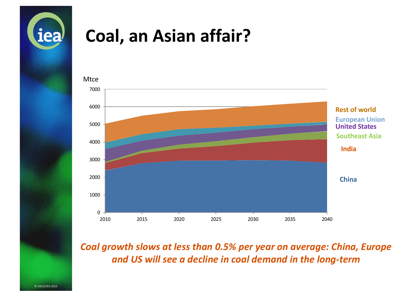

#### **Coal, an Asian affair?**



**Coal growth slows at less than 0.5% per year on average: China, Europe** and US will see a decline in coal demand in the long-term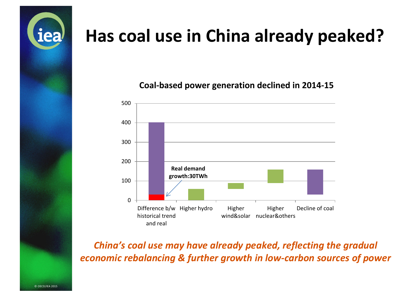

### **Has coal use in China already peaked?**

**Coal-based power generation declined in 2014-15** 



*China's coal use may have already peaked, reflecting the gradual economic rebalancing & further growth in low-carbon sources of power*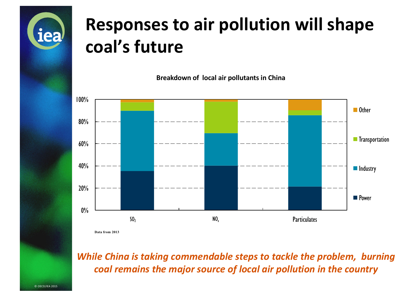

### **Responses to air pollution will shape** coal's future

**Breakdown of local air pollutants in China** 



*While China is taking commendable steps to tackle the problem, burning* coal remains the major source of local air pollution in the country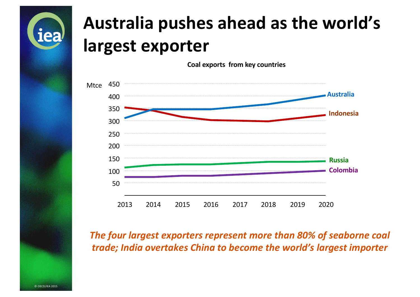

### Australia pushes ahead as the world's largest exporter

**Coal exports from key countries** 



The four largest exporters represent more than 80% of seaborne coal trade; India overtakes China to become the world's largest importer

© OECD/IEA 2015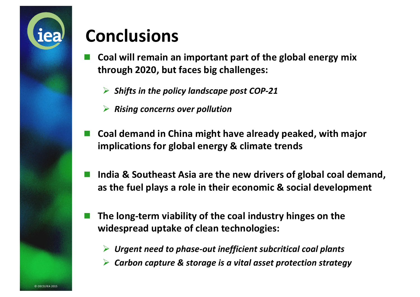

#### **Conclusions**

- Coal will remain an important part of the global energy mix **through 2020, but faces big challenges:**
	- $\triangleright$  Shifts in the policy landscape post COP-21
	- **► Rising concerns over pollution**
- Coal demand in China might have already peaked, with major **implications for global energy & climate trends**
- India & Southeast Asia are the new drivers of global coal demand, as the fuel plays a role in their economic & social development
- The long-term viability of the coal industry hinges on the **widespread uptake of clean technologies:**
	- **►** Urgent need to phase-out inefficient subcritical coal plants
	- Ø *Carbon capture & storage is a vital asset protection strategy*